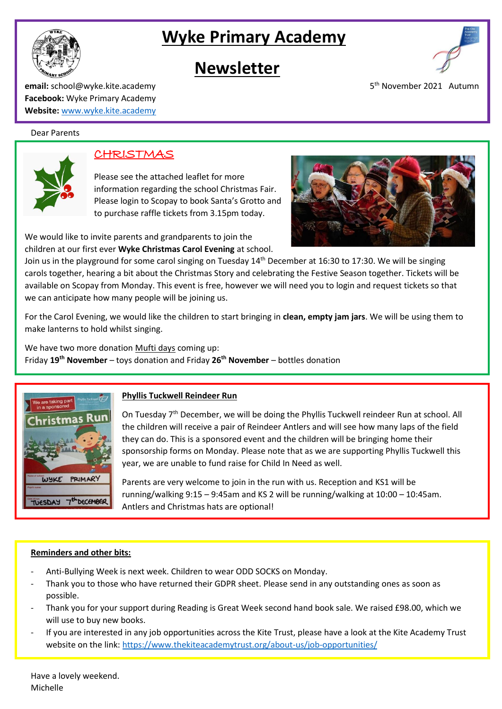



# **Newsletter**



5<sup>th</sup> November 2021 Autumn

**email:** school@wyke.kite.academy 5 **Facebook:** Wyke Primary Academy **Website:** [www.wyke.kite.academy](http://www.wyke.kite.academy/)

#### Dear Parents



## CHRISTMAS

Please see the attached leaflet for more information regarding the school Christmas Fair. Please login to Scopay to book Santa's Grotto and to purchase raffle tickets from 3.15pm today.

We would like to invite parents and grandparents to join the children at our first ever **Wyke Christmas Carol Evening** at school.

Join us in the playground for some carol singing on Tuesday 14<sup>th</sup> December at 16:30 to 17:30. We will be singing carols together, hearing a bit about the Christmas Story and celebrating the Festive Season together. Tickets will be available on Scopay from Monday. This event is free, however we will need you to login and request tickets so that we can anticipate how many people will be joining us.

For the Carol Evening, we would like the children to start bringing in **clean, empty jam jars**. We will be using them to make lanterns to hold whilst singing.

We have two more donation Mufti days coming up: Friday **19th November** – toys donation and Friday **26th November** – bottles donation



## **Phyllis Tuckwell Reindeer Run**

On Tuesday 7<sup>th</sup> December, we will be doing the Phyllis Tuckwell reindeer Run at school. All the children will receive a pair of Reindeer Antlers and will see how many laps of the field they can do. This is a sponsored event and the children will be bringing home their sponsorship forms on Monday. Please note that as we are supporting Phyllis Tuckwell this year, we are unable to fund raise for Child In Need as well.

Parents are very welcome to join in the run with us. Reception and KS1 will be running/walking 9:15 – 9:45am and KS 2 will be running/walking at 10:00 – 10:45am. Antlers and Christmas hats are optional!

### **Reminders and other bits:**

- Anti-Bullying Week is next week. Children to wear ODD SOCKS on Monday.
- Thank you to those who have returned their GDPR sheet. Please send in any outstanding ones as soon as possible.
- Thank you for your support during Reading is Great Week second hand book sale. We raised £98.00, which we will use to buy new books.
- If you are interested in any job opportunities across the Kite Trust, please have a look at the Kite Academy Trust website on the link:<https://www.thekiteacademytrust.org/about-us/job-opportunities/>

Have a lovely weekend. Michelle

-